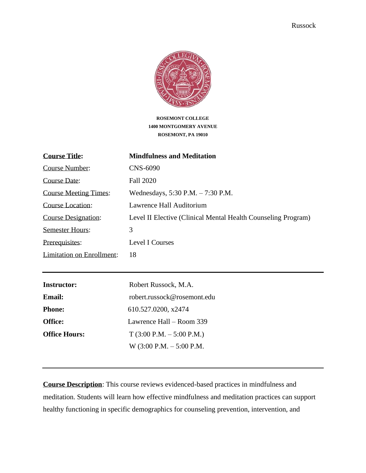

**ROSEMONT COLLEGE 1400 MONTGOMERY AVENUE ROSEMONT, PA 19010**

| <b>Course Title:</b>         | <b>Mindfulness and Meditation</b>                             |
|------------------------------|---------------------------------------------------------------|
| Course Number:               | CNS-6090                                                      |
| Course Date:                 | <b>Fall 2020</b>                                              |
| <b>Course Meeting Times:</b> | Wednesdays, $5:30$ P.M. $- 7:30$ P.M.                         |
| Course Location:             | Lawrence Hall Auditorium                                      |
| <b>Course Designation:</b>   | Level II Elective (Clinical Mental Health Counseling Program) |
| <b>Semester Hours:</b>       | 3                                                             |
| Prerequisites:               | Level I Courses                                               |
| Limitation on Enrollment:    | 18                                                            |

| <b>Instructor:</b>   | Robert Russock, M.A.                        |
|----------------------|---------------------------------------------|
| <b>Email:</b>        | robert.russock@rosemont.edu                 |
| <b>Phone:</b>        | 610.527.0200, x2474                         |
| Office:              | Lawrence Hall – Room 339                    |
| <b>Office Hours:</b> | $T(3:00 P.M. - 5:00 P.M.)$                  |
|                      | W $(3:00 \text{ P.M.} - 5:00 \text{ P.M.})$ |

**Course Description**: This course reviews evidenced-based practices in mindfulness and meditation. Students will learn how effective mindfulness and meditation practices can support healthy functioning in specific demographics for counseling prevention, intervention, and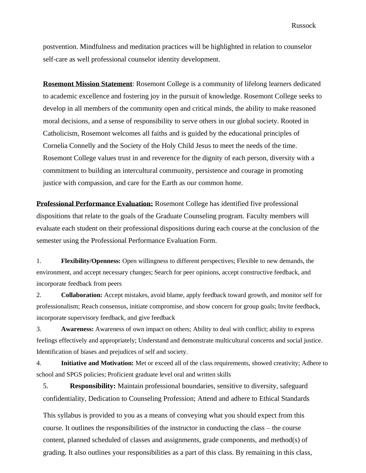postvention. Mindfulness and meditation practices will be highlighted in relation to counselor self-care as well professional counselor identity development.

**Rosemont Mission Statement**: Rosemont College is a community of lifelong learners dedicated to academic excellence and fostering joy in the pursuit of knowledge. Rosemont College seeks to develop in all members of the community open and critical minds, the ability to make reasoned moral decisions, and a sense of responsibility to serve others in our global society. Rooted in Catholicism, Rosemont welcomes all faiths and is guided by the educational principles of Cornelia Connelly and the Society of the Holy Child Jesus to meet the needs of the time. Rosemont College values trust in and reverence for the dignity of each person, diversity with a commitment to building an intercultural community, persistence and courage in promoting justice with compassion, and care for the Earth as our common home.

**Professional Performance Evaluation:** Rosemont College has identified five professional dispositions that relate to the goals of the Graduate Counseling program. Faculty members will evaluate each student on their professional dispositions during each course at the conclusion of the semester using the Professional Performance Evaluation Form.

1. **Flexibility/Openness:** Open willingness to different perspectives; Flexible to new demands, the environment, and accept necessary changes; Search for peer opinions, accept constructive feedback, and incorporate feedback from peers

2. **Collaboration:** Accept mistakes, avoid blame, apply feedback toward growth, and monitor self for professionalism; Reach consensus, initiate compromise, and show concern for group goals; Invite feedback, incorporate supervisory feedback, and give feedback

3. **Awareness:** Awareness of own impact on others; Ability to deal with conflict; ability to express feelings effectively and appropriately; Understand and demonstrate multicultural concerns and social justice. Identification of biases and prejudices of self and society.

4. **Initiative and Motivation:** Met or exceed all of the class requirements, showed creativity; Adhere to school and SPGS policies; Proficient graduate level oral and written skills

5. **Responsibility:** Maintain professional boundaries, sensitive to diversity, safeguard confidentiality, Dedication to Counseling Profession; Attend and adhere to Ethical Standards

This syllabus is provided to you as a means of conveying what you should expect from this course. It outlines the responsibilities of the instructor in conducting the class – the course content, planned scheduled of classes and assignments, grade components, and method(s) of grading. It also outlines your responsibilities as a part of this class. By remaining in this class,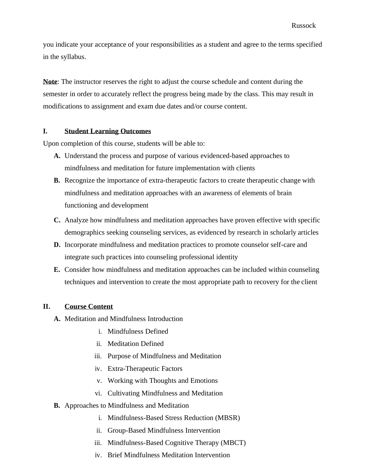you indicate your acceptance of your responsibilities as a student and agree to the terms specified in the syllabus.

**Note**: The instructor reserves the right to adjust the course schedule and content during the semester in order to accurately reflect the progress being made by the class. This may result in modifications to assignment and exam due dates and/or course content.

### **I. Student Learning Outcomes**

Upon completion of this course, students will be able to:

- **A.** Understand the process and purpose of various evidenced-based approaches to mindfulness and meditation for future implementation with clients
- **B.** Recognize the importance of extra-therapeutic factors to create therapeutic change with mindfulness and meditation approaches with an awareness of elements of brain functioning and development
- **C.** Analyze how mindfulness and meditation approaches have proven effective with specific demographics seeking counseling services, as evidenced by research in scholarly articles
- **D.** Incorporate mindfulness and meditation practices to promote counselor self-care and integrate such practices into counseling professional identity
- **E.** Consider how mindfulness and meditation approaches can be included within counseling techniques and intervention to create the most appropriate path to recovery for the client

## **II. Course Content**

- **A.** Meditation and Mindfulness Introduction
	- i. Mindfulness Defined
	- ii. Meditation Defined
	- iii. Purpose of Mindfulness and Meditation
	- iv. Extra-Therapeutic Factors
	- v. Working with Thoughts and Emotions
	- vi. Cultivating Mindfulness and Meditation
- **B.** Approaches to Mindfulness and Meditation
	- i. Mindfulness-Based Stress Reduction (MBSR)
	- ii. Group-Based Mindfulness Intervention
	- iii. Mindfulness-Based Cognitive Therapy (MBCT)
	- iv. Brief Mindfulness Meditation Intervention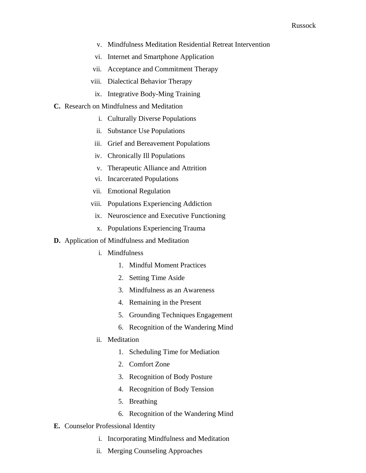- v. Mindfulness Meditation Residential Retreat Intervention
- vi. Internet and Smartphone Application
- vii. Acceptance and Commitment Therapy
- viii. Dialectical Behavior Therapy
	- ix. Integrative Body-Ming Training
- **C.** Research on Mindfulness and Meditation
	- i. Culturally Diverse Populations
	- ii. Substance Use Populations
	- iii. Grief and Bereavement Populations
	- iv. Chronically Ill Populations
	- v. Therapeutic Alliance and Attrition
	- vi. Incarcerated Populations
	- vii. Emotional Regulation
	- viii. Populations Experiencing Addiction
		- ix. Neuroscience and Executive Functioning
		- x. Populations Experiencing Trauma
- **D.** Application of Mindfulness and Meditation
	- i. Mindfulness
		- 1. Mindful Moment Practices
		- 2. Setting Time Aside
		- 3. Mindfulness as an Awareness
		- 4. Remaining in the Present
		- 5. Grounding Techniques Engagement
		- 6. Recognition of the Wandering Mind
	- ii. Meditation
		- 1. Scheduling Time for Mediation
		- 2. Comfort Zone
		- 3. Recognition of Body Posture
		- 4. Recognition of Body Tension
		- 5. Breathing
		- 6. Recognition of the Wandering Mind
- **E.** Counselor Professional Identity
	- i. Incorporating Mindfulness and Meditation
	- ii. Merging Counseling Approaches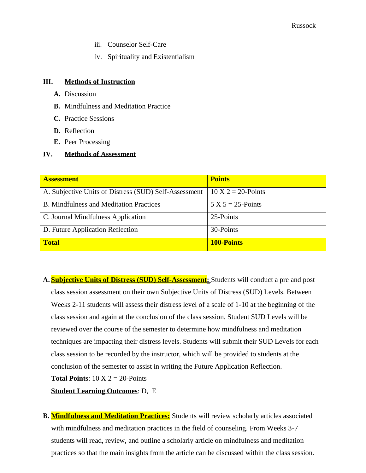- iii. Counselor Self-Care
- iv. Spirituality and Existentialism

### **III. Methods of Instruction**

- **A.** Discussion
- **B.** Mindfulness and Meditation Practice
- **C.** Practice Sessions
- **D.** Reflection
- **E.** Peer Processing

### **IV. Methods of Assessment**

| <b>Assessment</b>                                     | <b>Points</b>                  |
|-------------------------------------------------------|--------------------------------|
| A. Subjective Units of Distress (SUD) Self-Assessment | $10 \text{ X } 2 = 20$ -Points |
| <b>B.</b> Mindfulness and Meditation Practices        | $5 X 5 = 25$ -Points           |
| C. Journal Mindfulness Application                    | 25-Points                      |
| D. Future Application Reflection                      | 30-Points                      |
| <b>Total</b>                                          | <b>100-Points</b>              |

**A. Subjective Units of Distress (SUD) Self-Assessment:** Students will conduct a pre and post class session assessment on their own Subjective Units of Distress (SUD) Levels. Between Weeks 2-11 students will assess their distress level of a scale of 1-10 at the beginning of the class session and again at the conclusion of the class session. Student SUD Levels will be reviewed over the course of the semester to determine how mindfulness and meditation techniques are impacting their distress levels. Students will submit their SUD Levels for each class session to be recorded by the instructor, which will be provided to students at the conclusion of the semester to assist in writing the Future Application Reflection. **Total Points**:  $10 \text{ X } 2 = 20$ -Points

**Student Learning Outcomes**: D, E

**B. Mindfulness and Meditation Practices:** Students will review scholarly articles associated with mindfulness and meditation practices in the field of counseling. From Weeks 3-7 students will read, review, and outline a scholarly article on mindfulness and meditation practices so that the main insights from the article can be discussed within the class session.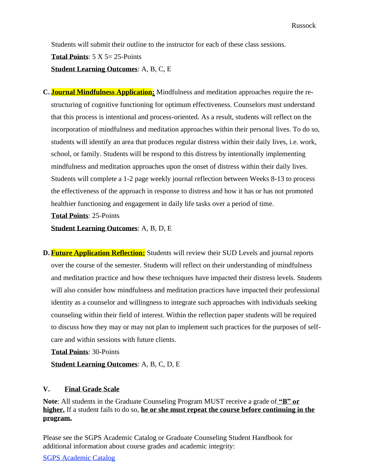Students will submit their outline to the instructor for each of these class sessions. **Total Points**: 5 X 5= 25-Points **Student Learning Outcomes**: A, B, C, E

**C. Journal Mindfulness Application:** Mindfulness and meditation approaches require the restructuring of cognitive functioning for optimum effectiveness. Counselors must understand that this process is intentional and process-oriented. As a result, students will reflect on the incorporation of mindfulness and meditation approaches within their personal lives. To do so, students will identify an area that produces regular distress within their daily lives, i.e. work, school, or family. Students will be respond to this distress by intentionally implementing mindfulness and meditation approaches upon the onset of distress within their daily lives. Students will complete a 1-2 page weekly journal reflection between Weeks 8-13 to process the effectiveness of the approach in response to distress and how it has or has not promoted healthier functioning and engagement in daily life tasks over a period of time.

**Total Points**: 25-Points

**Student Learning Outcomes**: A, B, D, E

**D. Future Application Reflection:** Students will review their SUD Levels and journal reports over the course of the semester. Students will reflect on their understanding of mindfulness and meditation practice and how these techniques have impacted their distress levels. Students will also consider how mindfulness and meditation practices have impacted their professional identity as a counselor and willingness to integrate such approaches with individuals seeking counseling within their field of interest. Within the reflection paper students will be required to discuss how they may or may not plan to implement such practices for the purposes of selfcare and within sessions with future clients.

**Total Points**: 30-Points

**Student Learning Outcomes**: A, B, C, D, E

### **V. Final Grade Scale**

**Note**: All students in the Graduate Counseling Program MUST receive a grade of **"B" or higher.** If a student fails to do so, **he or she must repeat the course before continuing in the program.**

Please see the SGPS Academic Catalog or Graduate Counseling Student Handbook for additional information about course grades and academic integrity:

SGPS Academic Catalog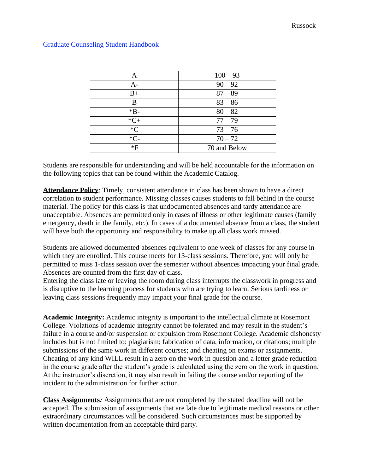| Α      | $100 - 93$   |
|--------|--------------|
| $A-$   | $90 - 92$    |
| $B+$   | $87 - 89$    |
| В      | $83 - 86$    |
| $*B-$  | $80 - 82$    |
| $*C+$  | $77 - 79$    |
| $C^*C$ | $73 - 76$    |
| $*C-$  | $70 - 72$    |
| *F     | 70 and Below |

### Graduate Counseling Student Handbook

Students are responsible for understanding and will be held accountable for the information on the following topics that can be found within the Academic Catalog.

**Attendance Policy**: Timely, consistent attendance in class has been shown to have a direct correlation to student performance. Missing classes causes students to fall behind in the course material. The policy for this class is that undocumented absences and tardy attendance are unacceptable. Absences are permitted only in cases of illness or other legitimate causes (family emergency, death in the family, etc.). In cases of a documented absence from a class, the student will have both the opportunity and responsibility to make up all class work missed.

Students are allowed documented absences equivalent to one week of classes for any course in which they are enrolled. This course meets for 13-class sessions. Therefore, you will only be permitted to miss 1-class session over the semester without absences impacting your final grade. Absences are counted from the first day of class.

Entering the class late or leaving the room during class interrupts the classwork in progress and is disruptive to the learning process for students who are trying to learn. Serious tardiness or leaving class sessions frequently may impact your final grade for the course.

**Academic Integrity:** Academic integrity is important to the intellectual climate at Rosemont College. Violations of academic integrity cannot be tolerated and may result in the student's failure in a course and/or suspension or expulsion from Rosemont College. Academic dishonesty includes but is not limited to: plagiarism; fabrication of data, information, or citations; multiple submissions of the same work in different courses; and cheating on exams or assignments. Cheating of any kind WILL result in a zero on the work in question and a letter grade reduction in the course grade after the student's grade is calculated using the zero on the work in question. At the instructor's discretion, it may also result in failing the course and/or reporting of the incident to the administration for further action.

**Class Assignments***:* Assignments that are not completed by the stated deadline will not be accepted. The submission of assignments that are late due to legitimate medical reasons or other extraordinary circumstances will be considered. Such circumstances must be supported by written documentation from an acceptable third party.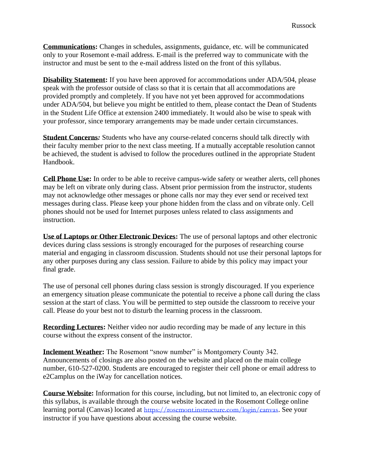**Communications:** Changes in schedules, assignments, guidance, etc. will be communicated only to your Rosemont e-mail address. E-mail is the preferred way to communicate with the instructor and must be sent to the e-mail address listed on the front of this syllabus.

**Disability Statement:** If you have been approved for accommodations under ADA/504, please speak with the professor outside of class so that it is certain that all accommodations are provided promptly and completely. If you have not yet been approved for accommodations under ADA/504, but believe you might be entitled to them, please contact the Dean of Students in the Student Life Office at extension 2400 immediately. It would also be wise to speak with your professor, since temporary arrangements may be made under certain circumstances.

**Student Concerns***:* Students who have any course-related concerns should talk directly with their faculty member prior to the next class meeting. If a mutually acceptable resolution cannot be achieved, the student is advised to follow the procedures outlined in the appropriate Student Handbook.

**Cell Phone Use:** In order to be able to receive campus-wide safety or weather alerts, cell phones may be left on vibrate only during class. Absent prior permission from the instructor, students may not acknowledge other messages or phone calls nor may they ever send or received text messages during class. Please keep your phone hidden from the class and on vibrate only. Cell phones should not be used for Internet purposes unless related to class assignments and instruction.

**Use of Laptops or Other Electronic Devices:** The use of personal laptops and other electronic devices during class sessions is strongly encouraged for the purposes of researching course material and engaging in classroom discussion. Students should not use their personal laptops for any other purposes during any class session. Failure to abide by this policy may impact your final grade.

The use of personal cell phones during class session is strongly discouraged. If you experience an emergency situation please communicate the potential to receive a phone call during the class session at the start of class. You will be permitted to step outside the classroom to receive your call. Please do your best not to disturb the learning process in the classroom.

**Recording Lectures:** Neither video nor audio recording may be made of any lecture in this course without the express consent of the instructor.

**Inclement Weather:** The Rosemont "snow number" is Montgomery County 342. Announcements of closings are also posted on the website and placed on the main college number, 610-527-0200. Students are encouraged to register their cell phone or email address to e2Camplus on the iWay for cancellation notices.

**Course Website:** Information for this course, including, but not limited to, an electronic copy of this syllabus, is available through the course website located in the Rosemont College online learning portal (Canvas) located at <https://rosemont.instructure.com/login/canvas>. See your instructor if you have questions about accessing the course website.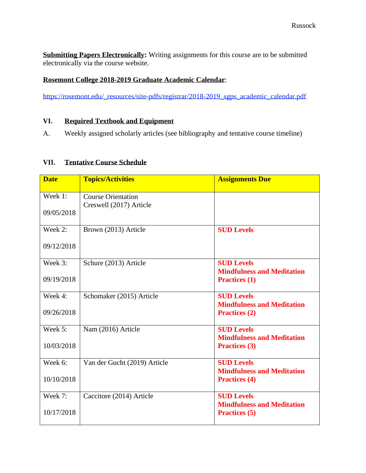**Submitting Papers Electronically:** Writing assignments for this course are to be submitted electronically via the course website.

# **Rosemont College 2018-2019 Graduate Academic Calendar**:

[https://rosemont.edu/\\_resources/site-pdfs/registrar/2018-2019\\_sgps\\_academic\\_calendar.pdf](https://rosemont.edu/_resources/site-pdfs/registrar/2018-2019_sgps_academic_calendar.pdf)

### **VI. Required Textbook and Equipment**

A. Weekly assigned scholarly articles (see bibliography and tentative course timeline)

## **VII. Tentative Course Schedule**

| <b>Date</b>           | <b>Topics/Activities</b>                             | <b>Assignments Due</b>                                                         |
|-----------------------|------------------------------------------------------|--------------------------------------------------------------------------------|
| Week 1:<br>09/05/2018 | <b>Course Orientation</b><br>Creswell (2017) Article |                                                                                |
| Week 2:<br>09/12/2018 | Brown (2013) Article                                 | <b>SUD Levels</b>                                                              |
| Week 3:<br>09/19/2018 | Schure (2013) Article                                | <b>SUD Levels</b><br><b>Mindfulness and Meditation</b><br><b>Practices (1)</b> |
| Week 4:<br>09/26/2018 | Schomaker (2015) Article                             | <b>SUD Levels</b><br><b>Mindfulness and Meditation</b><br><b>Practices (2)</b> |
| Week 5:<br>10/03/2018 | Nam (2016) Article                                   | <b>SUD Levels</b><br><b>Mindfulness and Meditation</b><br><b>Practices (3)</b> |
| Week 6:<br>10/10/2018 | Van der Gucht (2019) Article                         | <b>SUD Levels</b><br><b>Mindfulness and Meditation</b><br><b>Practices (4)</b> |
| Week 7:<br>10/17/2018 | Caccitore (2014) Article                             | <b>SUD Levels</b><br><b>Mindfulness and Meditation</b><br><b>Practices</b> (5) |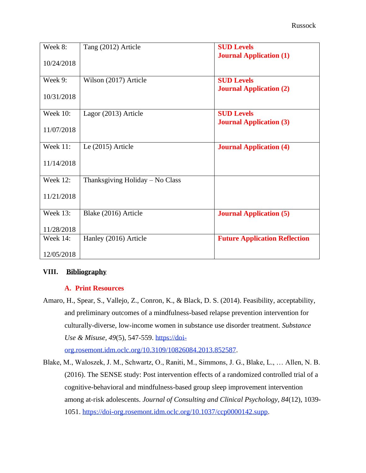| Week 8:         | Tang (2012) Article             | <b>SUD Levels</b>                    |
|-----------------|---------------------------------|--------------------------------------|
| 10/24/2018      |                                 | <b>Journal Application (1)</b>       |
| Week 9:         | Wilson (2017) Article           | <b>SUD Levels</b>                    |
| 10/31/2018      |                                 | <b>Journal Application (2)</b>       |
| <b>Week 10:</b> | Lagor (2013) Article            | <b>SUD Levels</b>                    |
| 11/07/2018      |                                 | <b>Journal Application (3)</b>       |
| <b>Week 11:</b> | Le (2015) Article               | <b>Journal Application (4)</b>       |
| 11/14/2018      |                                 |                                      |
| Week 12:        | Thanksgiving Holiday - No Class |                                      |
| 11/21/2018      |                                 |                                      |
| <b>Week 13:</b> | Blake (2016) Article            | <b>Journal Application (5)</b>       |
| 11/28/2018      |                                 |                                      |
| Week $14$ :     | Hanley (2016) Article           | <b>Future Application Reflection</b> |
| 12/05/2018      |                                 |                                      |

## **VIII. Bibliography**

### **A. Print Resources**

Amaro, H., Spear, S., Vallejo, Z., Conron, K., & Black, D. S. (2014). Feasibility, acceptability, and preliminary outcomes of a mindfulness-based relapse prevention intervention for culturally-diverse, low-income women in substance use disorder treatment. *Substance Use & Misuse, 49*(5), 547-559. [https://doi-](https://doi-org.rosemont.idm.oclc.org/10.3109/10826084.2013.852587)

[org.rosemont.idm.oclc.org/10.3109/10826084.2013.852587.](https://doi-org.rosemont.idm.oclc.org/10.3109/10826084.2013.852587)

Blake, M., Waloszek, J. M., Schwartz, O., Raniti, M., Simmons, J. G., Blake, L., … Allen, N. B. (2016). The SENSE study: Post intervention effects of a randomized controlled trial of a cognitive-behavioral and mindfulness-based group sleep improvement intervention among at-risk adolescents. *Journal of Consulting and Clinical Psychology, 84*(12), 1039- 1051. [https://doi-org.rosemont.idm.oclc.org/10.1037/ccp0000142.supp.](https://doi-org.rosemont.idm.oclc.org/10.1037/ccp0000142.supp)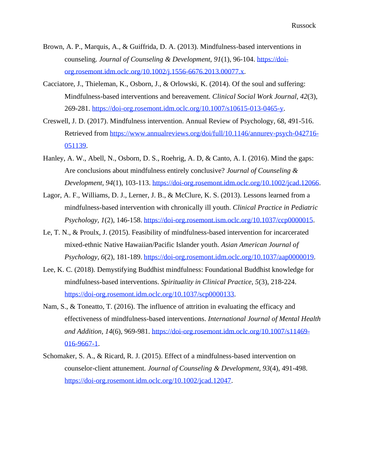- Brown, A. P., Marquis, A., & Guiffrida, D. A. (2013). Mindfulness-based interventions in counseling. *Journal of Counseling & Development, 91*(1), 96-104. [https://doi](https://doi-org.rosemont.idm.oclc.org/10.1002/j.1556-6676.2013.00077.x)[org.rosemont.idm.oclc.org/10.1002/j.1556-6676.2013.00077.x.](https://doi-org.rosemont.idm.oclc.org/10.1002/j.1556-6676.2013.00077.x)
- Cacciatore, J., Thieleman, K., Osborn, J., & Orlowski, K. (2014). Of the soul and suffering: Mindfulness-based interventions and bereavement. *Clinical Social Work Journal, 42*(3), 269-281. [https://doi-org.rosemont.idm.oclc.org/10.1007/s10615-013-0465-y.](https://doi-org.rosemont.idm.oclc.org/10.1007/s10615-013-0465-y)
- Creswell, J. D. (2017). Mindfulness intervention. Annual Review of Psychology, 68, 491-516. Retrieved from [https://www.annualreviews.org/doi/full/10.1146/annurev-psych-042716-](https://www.annualreviews.org/doi/full/10.1146/annurev-psych-042716-051139) [051139.](https://www.annualreviews.org/doi/full/10.1146/annurev-psych-042716-051139)
- Hanley, A. W., Abell, N., Osborn, D. S., Roehrig, A. D, & Canto, A. I. (2016). Mind the gaps: Are conclusions about mindfulness entirely conclusive? *Journal of Counseling & Development, 94*(1), 103-113. [https://doi-org.rosemont.idm.oclc.org/10.1002/jcad.12066.](https://doi-org.rosemont.idm.oclc.org/10.1002/jcad.12066)
- Lagor, A. F., Williams, D. J., Lerner, J. B., & McClure, K. S. (2013). Lessons learned from a mindfulness-based intervention with chronically ill youth. *Clinical Practice in Pediatric Psychology, 1*(2), 146-158. [https://doi-org.rosemont.ism.oclc.org/10.1037/ccp0000015.](https://doi-org.rosemont.ism.oclc.org/10.1037/ccp0000015)
- Le, T. N., & Proulx, J. (2015). Feasibility of mindfulness-based intervention for incarcerated mixed-ethnic Native Hawaiian/Pacific Islander youth. *Asian American Journal of Psychology, 6*(2), 181-189. [https://doi-org.rosemont.idm.oclc.org/10.1037/aap0000019.](https://doi-org.rosemont.idm.oclc.org/10.1037/aap0000019)
- Lee, K. C. (2018). Demystifying Buddhist mindfulness: Foundational Buddhist knowledge for mindfulness-based interventions. *Spirituality in Clinical Practice, 5*(3), 218-224. [https://doi-org.rosemont.idm.oclc.org/10.1037/scp0000133.](https://doi-org.rosemont.idm.oclc.org/10.1037/scp0000133)
- Nam, S., & Toneatto, T. (2016). The influence of attrition in evaluating the efficacy and effectiveness of mindfulness-based interventions. *International Journal of Mental Health and Addition, 14*(6), 969-981. [https://doi-org.rosemont.idm.oclc.org/10.1007/s11469-](https://doi-org.rosemont.idm.oclc.org/10.1007/s11469-016-9667-1) [016-9667-1.](https://doi-org.rosemont.idm.oclc.org/10.1007/s11469-016-9667-1)
- Schomaker, S. A., & Ricard, R. J. (2015). Effect of a mindfulness-based intervention on counselor-client attunement. *Journal of Counseling & Development, 93*(4), 491-498. [https://doi-org.rosemont.idm.oclc.org/10.1002/jcad.12047.](https://doi-org.rosemont.idm.oclc.org/10.1002/jcad.12047)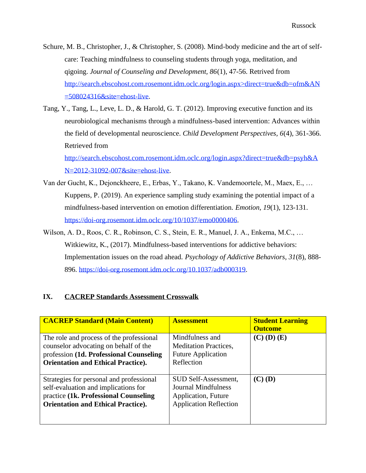- Schure, M. B., Christopher, J., & Christopher, S. (2008). Mind-body medicine and the art of selfcare: Teaching mindfulness to counseling students through yoga, meditation, and qigoing. *Journal of Counseling and Development, 86*(1), 47-56. Retrived from [http://search.ebscohost.com.rosemont.idm.oclc.org/login.aspx>direct=true&db=ofm&AN](http://search.ebscohost.com.rosemont.idm.oclc.org/login.aspx%3edirect%3Dtrue%26db%3Dofm%26AN%3D508024316%26site%3Dehost-live)  $=508024316$ &site=ehost-live.
- Tang, Y., Tang, L., Leve, L. D., & Harold, G. T. (2012). Improving executive function and its neurobiological mechanisms through a mindfulness-based intervention: Advances within the field of developmental neuroscience. *Child Development Perspectives, 6*(4), 361-366. Retrieved from

[http://search.ebscohost.com.rosemont.idm.oclc.org/login.aspx?direct=true&db=psyh&A](http://search.ebscohost.com.rosemont.idm.oclc.org/login.aspx?direct=true&db=psyh&AN=2012-31092-007&site=ehost-live) [N=2012-31092-007&site=ehost-live.](http://search.ebscohost.com.rosemont.idm.oclc.org/login.aspx?direct=true&db=psyh&AN=2012-31092-007&site=ehost-live)

- Van der Gucht, K., Dejonckheere, E., Erbas, Y., Takano, K. Vandemoortele, M., Maex, E., … Kuppens, P. (2019). An experience sampling study examining the potential impact of a mindfulness-based intervention on emotion differentiation. *Emotion, 19*(1), 123-131. [https://doi-org.rosemont.idm.oclc.org/10/1037/emo0000406.](https://doi-org.rosemont.idm.oclc.org/10/1037/emo0000406)
- Wilson, A. D., Roos, C. R., Robinson, C. S., Stein, E. R., Manuel, J. A., Enkema, M.C., … Witkiewitz, K., (2017). Mindfulness-based interventions for addictive behaviors: Implementation issues on the road ahead. *Psychology of Addictive Behaviors, 31*(8), 888- 896. [https://doi-org.rosemont.idm.oclc.org/10.1037/adb000319.](https://doi-org.rosemont.idm.oclc.org/10.1037/adb000319)

### **IX. CACREP Standards Assessment Crosswalk**

| <b>CACREP Standard (Main Content)</b>                                                                                                                                     | <b>Assessment</b>                                                                                           | <b>Student Learning</b><br><b>Outcome</b> |
|---------------------------------------------------------------------------------------------------------------------------------------------------------------------------|-------------------------------------------------------------------------------------------------------------|-------------------------------------------|
| The role and process of the professional<br>counselor advocating on behalf of the<br>profession (1d. Professional Counseling<br><b>Orientation and Ethical Practice).</b> | Mindfulness and<br><b>Meditation Practices,</b><br><b>Future Application</b><br>Reflection                  | $(C)$ (D) $(E)$                           |
| Strategies for personal and professional<br>self-evaluation and implications for<br>practice (1k. Professional Counseling<br><b>Orientation and Ethical Practice).</b>    | SUD Self-Assessment,<br>Journal Mindfulness<br><b>Application</b> , Future<br><b>Application Reflection</b> | $(C)$ (D)                                 |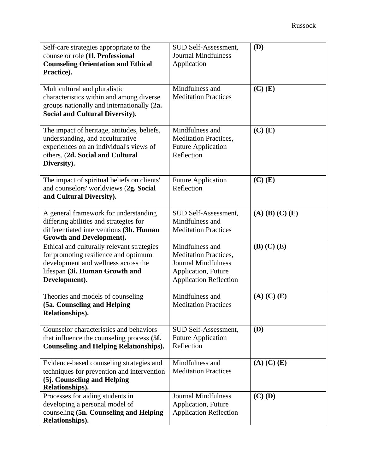| Self-care strategies appropriate to the<br>counselor role (1l. Professional<br><b>Counseling Orientation and Ethical</b><br>Practice).                                        | SUD Self-Assessment,<br><b>Journal Mindfulness</b><br>Application                                                                     | (D)                     |
|-------------------------------------------------------------------------------------------------------------------------------------------------------------------------------|---------------------------------------------------------------------------------------------------------------------------------------|-------------------------|
| Multicultural and pluralistic<br>characteristics within and among diverse<br>groups nationally and internationally (2a.<br><b>Social and Cultural Diversity).</b>             | Mindfulness and<br><b>Meditation Practices</b>                                                                                        | $(C)$ $(E)$             |
| The impact of heritage, attitudes, beliefs,<br>understanding, and acculturative<br>experiences on an individual's views of<br>others. (2d. Social and Cultural<br>Diversity). | Mindfulness and<br><b>Meditation Practices,</b><br><b>Future Application</b><br>Reflection                                            | $(C)$ $(E)$             |
| The impact of spiritual beliefs on clients'<br>and counselors' worldviews (2g. Social<br>and Cultural Diversity).                                                             | <b>Future Application</b><br>Reflection                                                                                               | $(C)$ $(E)$             |
| A general framework for understanding<br>differing abilities and strategies for<br>differentiated interventions (3h. Human<br><b>Growth and Development).</b>                 | SUD Self-Assessment,<br>Mindfulness and<br><b>Meditation Practices</b>                                                                | $(A)$ $(B)$ $(C)$ $(E)$ |
| Ethical and culturally relevant strategies<br>for promoting resilience and optimum<br>development and wellness across the<br>lifespan (3i. Human Growth and<br>Development).  | Mindfulness and<br><b>Meditation Practices,</b><br><b>Journal Mindfulness</b><br>Application, Future<br><b>Application Reflection</b> | $(B)$ $(C)$ $(E)$       |
| Theories and models of counseling<br>(5a. Counseling and Helping<br>Relationships).                                                                                           | Mindfulness and<br><b>Meditation Practices</b>                                                                                        | $(A)$ $(C)$ $(E)$       |
| Counselor characteristics and behaviors<br>that influence the counseling process (5f.<br><b>Counseling and Helping Relationships).</b>                                        | SUD Self-Assessment,<br><b>Future Application</b><br>Reflection                                                                       | <b>(D)</b>              |
| Evidence-based counseling strategies and<br>techniques for prevention and intervention<br>(5j. Counseling and Helping<br>Relationships).                                      | Mindfulness and<br><b>Meditation Practices</b>                                                                                        | $(A)$ $(C)$ $(E)$       |
| Processes for aiding students in<br>developing a personal model of<br>counseling (5n. Counseling and Helping<br>Relationships).                                               | <b>Journal Mindfulness</b><br>Application, Future<br><b>Application Reflection</b>                                                    | $(C)$ (D)               |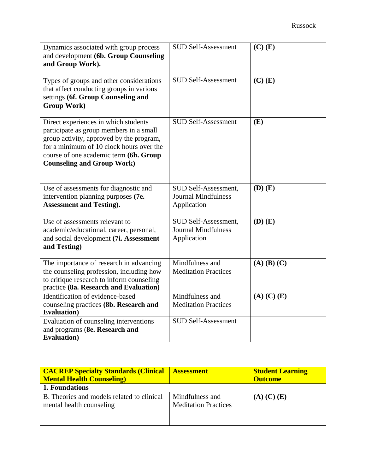| Dynamics associated with group process<br>and development (6b. Group Counseling<br>and Group Work).                                                                                                                                                    | <b>SUD Self-Assessment</b>                                        | $(C)$ $(E)$       |
|--------------------------------------------------------------------------------------------------------------------------------------------------------------------------------------------------------------------------------------------------------|-------------------------------------------------------------------|-------------------|
| Types of groups and other considerations<br>that affect conducting groups in various<br>settings (6f. Group Counseling and<br><b>Group Work)</b>                                                                                                       | <b>SUD Self-Assessment</b>                                        | $(C)$ $(E)$       |
| Direct experiences in which students<br>participate as group members in a small<br>group activity, approved by the program,<br>for a minimum of 10 clock hours over the<br>course of one academic term (6h. Group<br><b>Counseling and Group Work)</b> | <b>SUD Self-Assessment</b>                                        | (E)               |
| Use of assessments for diagnostic and<br>intervention planning purposes (7e.<br><b>Assessment and Testing).</b>                                                                                                                                        | SUD Self-Assessment,<br><b>Journal Mindfulness</b><br>Application | $(D)$ $(E)$       |
| Use of assessments relevant to<br>academic/educational, career, personal,<br>and social development (7i. Assessment<br>and Testing)                                                                                                                    | SUD Self-Assessment,<br><b>Journal Mindfulness</b><br>Application | $(D)$ $(E)$       |
| The importance of research in advancing<br>the counseling profession, including how<br>to critique research to inform counseling<br>practice (8a. Research and Evaluation)                                                                             | Mindfulness and<br><b>Meditation Practices</b>                    | $(A)$ $(B)$ $(C)$ |
| Identification of evidence-based<br>counseling practices (8b. Research and<br><b>Evaluation</b> )                                                                                                                                                      | Mindfulness and<br><b>Meditation Practices</b>                    | $(A)$ $(C)$ $(E)$ |
| Evaluation of counseling interventions<br>and programs (8e. Research and<br><b>Evaluation</b> )                                                                                                                                                        | <b>SUD Self-Assessment</b>                                        |                   |

| <b>CACREP Specialty Standards (Clinical</b><br><b>Mental Health Counseling</b> | <b>Assessment</b>                              | <b>Student Learning</b><br><b>Outcome</b> |
|--------------------------------------------------------------------------------|------------------------------------------------|-------------------------------------------|
| 1. Foundations                                                                 |                                                |                                           |
| B. Theories and models related to clinical<br>mental health counseling         | Mindfulness and<br><b>Meditation Practices</b> | $(A)$ $(C)$ $(E)$                         |